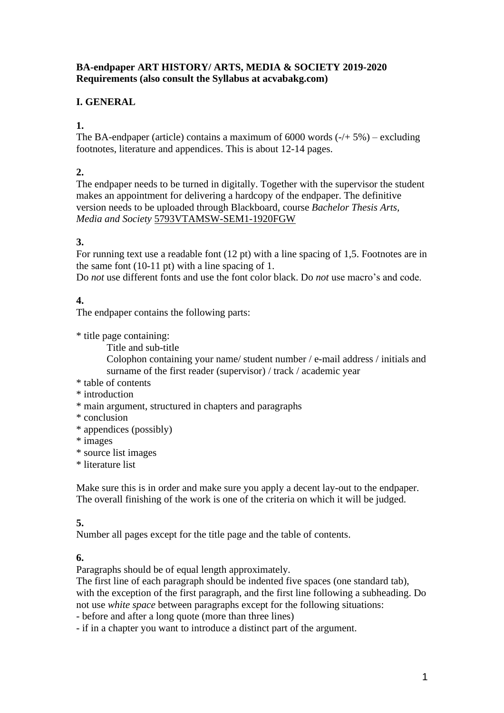## **BA-endpaper ART HISTORY/ ARTS, MEDIA & SOCIETY 2019-2020 Requirements (also consult the Syllabus at acvabakg.com)**

# **I. GENERAL**

**1.**

The BA-endpaper (article) contains a maximum of  $6000$  words  $\left(\frac{1}{5}\% \right)$  – excluding footnotes, literature and appendices. This is about 12-14 pages.

# **2.**

The endpaper needs to be turned in digitally. Together with the supervisor the student makes an appointment for delivering a hardcopy of the endpaper. The definitive version needs to be uploaded through Blackboard, course *Bachelor Thesis Arts, Media and Society* 5793VTAMSW-SEM1-1920FGW

# **3.**

For running text use a readable font (12 pt) with a line spacing of 1,5. Footnotes are in the same font (10-11 pt) with a line spacing of 1.

Do *not* use different fonts and use the font color black. Do *not* use macro's and code.

# **4.**

The endpaper contains the following parts:

\* title page containing:

Title and sub-title

Colophon containing your name/ student number / e-mail address / initials and surname of the first reader (supervisor) / track / academic year

- \* table of contents
- \* introduction
- \* main argument, structured in chapters and paragraphs
- \* conclusion
- \* appendices (possibly)
- \* images
- \* source list images
- \* literature list

Make sure this is in order and make sure you apply a decent lay-out to the endpaper. The overall finishing of the work is one of the criteria on which it will be judged.

# **5.**

Number all pages except for the title page and the table of contents.

## **6.**

Paragraphs should be of equal length approximately.

The first line of each paragraph should be indented five spaces (one standard tab), with the exception of the first paragraph, and the first line following a subheading. Do not use *white space* between paragraphs except for the following situations:

- before and after a long quote (more than three lines)

- if in a chapter you want to introduce a distinct part of the argument.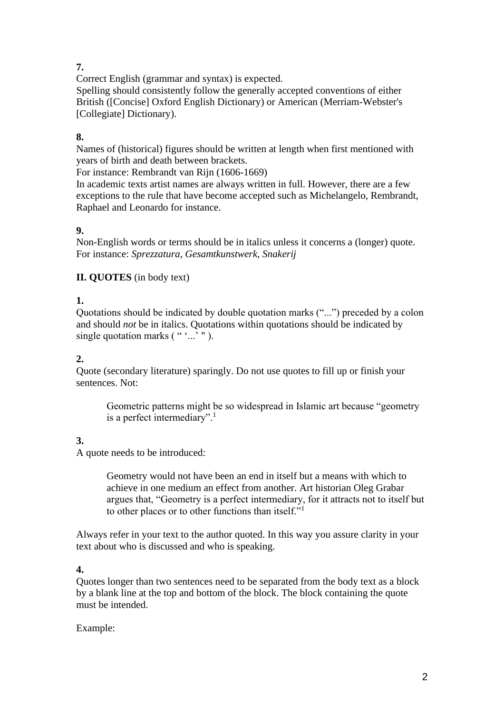# **7.**

Correct English (grammar and syntax) is expected.

Spelling should consistently follow the generally accepted conventions of either British ([Concise] Oxford English Dictionary) or American (Merriam-Webster's [Collegiate] Dictionary).

# **8.**

Names of (historical) figures should be written at length when first mentioned with years of birth and death between brackets.

For instance: Rembrandt van Rijn (1606-1669)

In academic texts artist names are always written in full. However, there are a few exceptions to the rule that have become accepted such as Michelangelo, Rembrandt, Raphael and Leonardo for instance.

# **9.**

Non-English words or terms should be in italics unless it concerns a (longer) quote. For instance: *Sprezzatura, Gesamtkunstwerk, Snakerij*

# **II. QUOTES** (in body text)

# **1.**

Quotations should be indicated by double quotation marks ("...") preceded by a colon and should *not* be in italics. Quotations within quotations should be indicated by single quotation marks (""..."").

# **2.**

Quote (secondary literature) sparingly. Do not use quotes to fill up or finish your sentences. Not:

Geometric patterns might be so widespread in Islamic art because "geometry is a perfect intermediary".<sup>1</sup>

# **3.**

A quote needs to be introduced:

Geometry would not have been an end in itself but a means with which to achieve in one medium an effect from another. Art historian Oleg Grabar argues that, "Geometry is a perfect intermediary, for it attracts not to itself but to other places or to other functions than itself."<sup>1</sup>

Always refer in your text to the author quoted. In this way you assure clarity in your text about who is discussed and who is speaking.

# **4.**

Quotes longer than two sentences need to be separated from the body text as a block by a blank line at the top and bottom of the block. The block containing the quote must be intended.

# Example: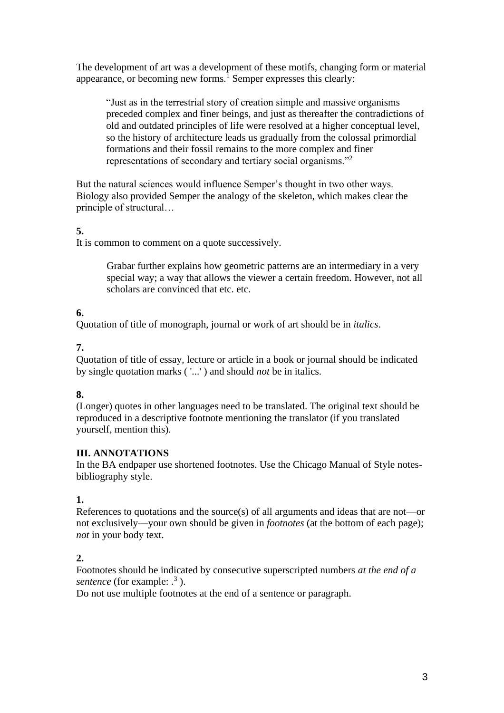The development of art was a development of these motifs, changing form or material appearance, or becoming new forms.<sup>1</sup> Semper expresses this clearly:

"Just as in the terrestrial story of creation simple and massive organisms preceded complex and finer beings, and just as thereafter the contradictions of old and outdated principles of life were resolved at a higher conceptual level, so the history of architecture leads us gradually from the colossal primordial formations and their fossil remains to the more complex and finer representations of secondary and tertiary social organisms."<sup>2</sup>

But the natural sciences would influence Semper's thought in two other ways. Biology also provided Semper the analogy of the skeleton, which makes clear the principle of structural…

## **5.**

It is common to comment on a quote successively.

Grabar further explains how geometric patterns are an intermediary in a very special way; a way that allows the viewer a certain freedom. However, not all scholars are convinced that etc. etc.

# **6.**

Quotation of title of monograph, journal or work of art should be in *italics*.

# **7.**

Quotation of title of essay, lecture or article in a book or journal should be indicated by single quotation marks ( '...' ) and should *not* be in italics.

## **8.**

(Longer) quotes in other languages need to be translated. The original text should be reproduced in a descriptive footnote mentioning the translator (if you translated yourself, mention this).

## **III. ANNOTATIONS**

In the BA endpaper use shortened footnotes. Use the Chicago Manual of Style notesbibliography style.

## **1.**

References to quotations and the source(s) of all arguments and ideas that are not—or not exclusively—your own should be given in *footnotes* (at the bottom of each page); *not* in your body text.

# **2.**

Footnotes should be indicated by consecutive superscripted numbers *at the end of a*  sentence (for example: .<sup>3</sup>).

Do not use multiple footnotes at the end of a sentence or paragraph.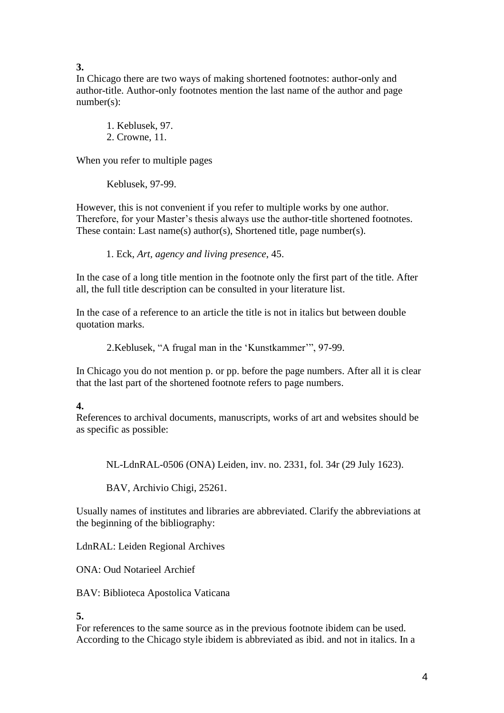**3.**

In Chicago there are two ways of making shortened footnotes: author-only and author-title. Author-only footnotes mention the last name of the author and page number(s):

1. Keblusek, 97. 2. Crowne, 11.

When you refer to multiple pages

Keblusek, 97-99.

However, this is not convenient if you refer to multiple works by one author. Therefore, for your Master's thesis always use the author-title shortened footnotes. These contain: Last name(s) author(s), Shortened title, page number(s).

1. Eck, *Art, agency and living presence*, 45.

In the case of a long title mention in the footnote only the first part of the title. After all, the full title description can be consulted in your literature list.

In the case of a reference to an article the title is not in italics but between double quotation marks.

2.Keblusek, "A frugal man in the 'Kunstkammer'", 97-99.

In Chicago you do not mention p. or pp. before the page numbers. After all it is clear that the last part of the shortened footnote refers to page numbers.

# **4.**

References to archival documents, manuscripts, works of art and websites should be as specific as possible:

NL-LdnRAL-0506 (ONA) Leiden, inv. no. 2331, fol. 34r (29 July 1623).

BAV, Archivio Chigi, 25261.

Usually names of institutes and libraries are abbreviated. Clarify the abbreviations at the beginning of the bibliography:

LdnRAL: Leiden Regional Archives

ONA: Oud Notarieel Archief

BAV: Biblioteca Apostolica Vaticana

**5.**

For references to the same source as in the previous footnote ibidem can be used. According to the Chicago style ibidem is abbreviated as ibid. and not in italics. In a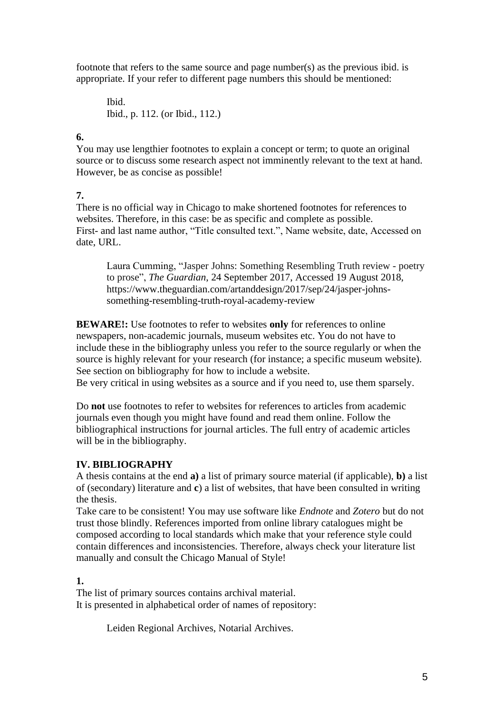footnote that refers to the same source and page number(s) as the previous ibid. is appropriate. If your refer to different page numbers this should be mentioned:

Ibid. Ibid., p. 112. (or Ibid., 112.)

## **6.**

You may use lengthier footnotes to explain a concept or term; to quote an original source or to discuss some research aspect not imminently relevant to the text at hand. However, be as concise as possible!

## **7.**

There is no official way in Chicago to make shortened footnotes for references to websites. Therefore, in this case: be as specific and complete as possible. First- and last name author, "Title consulted text.", Name website, date, Accessed on date, URL.

Laura Cumming, "Jasper Johns: Something Resembling Truth review - poetry to prose", *The Guardian*, 24 September 2017, Accessed 19 August 2018, https://www.theguardian.com/artanddesign/2017/sep/24/jasper-johnssomething-resembling-truth-royal-academy-review

**BEWARE!:** Use footnotes to refer to websites **only** for references to online newspapers, non-academic journals, museum websites etc. You do not have to include these in the bibliography unless you refer to the source regularly or when the source is highly relevant for your research (for instance; a specific museum website). See section on bibliography for how to include a website.

Be very critical in using websites as a source and if you need to, use them sparsely.

Do **not** use footnotes to refer to websites for references to articles from academic journals even though you might have found and read them online. Follow the bibliographical instructions for journal articles. The full entry of academic articles will be in the bibliography.

# **IV. BIBLIOGRAPHY**

A thesis contains at the end **a)** a list of primary source material (if applicable), **b)** a list of (secondary) literature and **c**) a list of websites, that have been consulted in writing the thesis.

Take care to be consistent! You may use software like *Endnote* and *Zotero* but do not trust those blindly. References imported from online library catalogues might be composed according to local standards which make that your reference style could contain differences and inconsistencies. Therefore, always check your literature list manually and consult the Chicago Manual of Style!

# **1.**

The list of primary sources contains archival material. It is presented in alphabetical order of names of repository:

Leiden Regional Archives, Notarial Archives.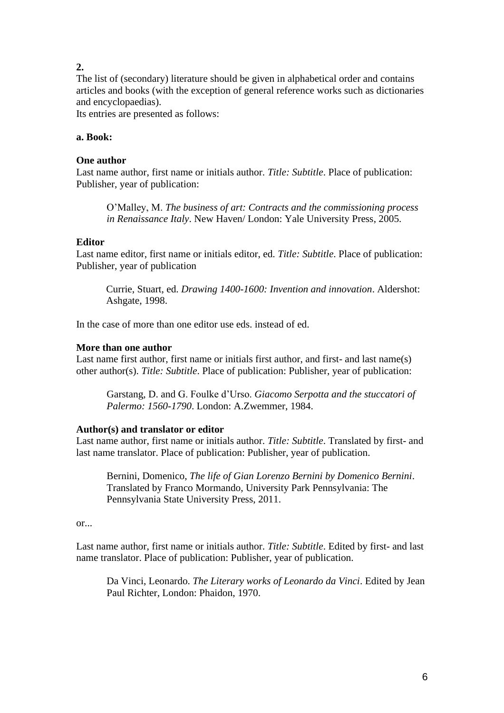# **2.**

The list of (secondary) literature should be given in alphabetical order and contains articles and books (with the exception of general reference works such as dictionaries and encyclopaedias).

Its entries are presented as follows:

## **a. Book:**

#### **One author**

Last name author, first name or initials author. *Title: Subtitle*. Place of publication: Publisher, year of publication:

O'Malley, M. *The business of art: Contracts and the commissioning process in Renaissance Italy*. New Haven/ London: Yale University Press, 2005.

#### **Editor**

Last name editor, first name or initials editor, ed. *Title: Subtitle*. Place of publication: Publisher, year of publication

Currie, Stuart, ed. *Drawing 1400-1600: Invention and innovation*. Aldershot: Ashgate, 1998.

In the case of more than one editor use eds. instead of ed.

#### **More than one author**

Last name first author, first name or initials first author, and first- and last name(s) other author(s). *Title: Subtitle*. Place of publication: Publisher, year of publication:

Garstang, D. and G. Foulke d'Urso. *Giacomo Serpotta and the stuccatori of Palermo: 1560-1790*. London: A.Zwemmer, 1984.

#### **Author(s) and translator or editor**

Last name author, first name or initials author. *Title: Subtitle*. Translated by first- and last name translator. Place of publication: Publisher, year of publication.

Bernini, Domenico, *The life of Gian Lorenzo Bernini by Domenico Bernini*. Translated by Franco Mormando, University Park Pennsylvania: The Pennsylvania State University Press, 2011.

or...

Last name author, first name or initials author. *Title: Subtitle*. Edited by first- and last name translator. Place of publication: Publisher, year of publication.

Da Vinci, Leonardo. *The Literary works of Leonardo da Vinci*. Edited by Jean Paul Richter, London: Phaidon, 1970.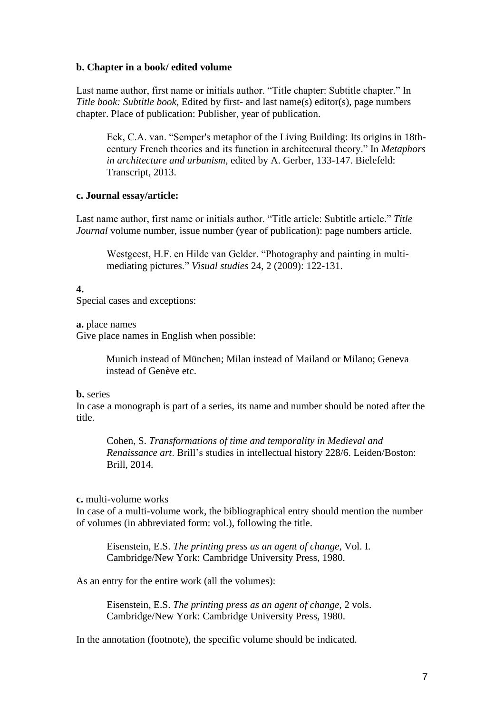#### **b. Chapter in a book/ edited volume**

Last name author, first name or initials author. "Title chapter: Subtitle chapter." In *Title book: Subtitle book*, Edited by first- and last name(s) editor(s), page numbers chapter. Place of publication: Publisher, year of publication.

Eck, C.A. van. "Semper's metaphor of the Living Building: Its origins in 18thcentury French theories and its function in architectural theory." In *Metaphors in architecture and urbanism*, edited by A. Gerber, 133-147. Bielefeld: Transcript, 2013.

#### **c. Journal essay/article:**

Last name author, first name or initials author. "Title article: Subtitle article." *Title Journal* volume number, issue number (year of publication): page numbers article.

Westgeest, H.F. en Hilde van Gelder. "Photography and painting in multimediating pictures." *Visual studies* 24, 2 (2009): 122-131.

#### **4.**

Special cases and exceptions:

**a.** place names

Give place names in English when possible:

Munich instead of München; Milan instead of Mailand or Milano; Geneva instead of Genève etc.

#### **b.** series

In case a monograph is part of a series, its name and number should be noted after the title.

Cohen, S. *Transformations of time and temporality in Medieval and Renaissance art*. Brill's studies in intellectual history 228/6. Leiden/Boston: Brill, 2014.

#### **c.** multi-volume works

In case of a multi-volume work, the bibliographical entry should mention the number of volumes (in abbreviated form: vol.), following the title.

Eisenstein, E.S. *The printing press as an agent of change*, Vol. I. Cambridge/New York: Cambridge University Press, 1980.

As an entry for the entire work (all the volumes):

Eisenstein, E.S. *The printing press as an agent of change*, 2 vols. Cambridge/New York: Cambridge University Press, 1980.

In the annotation (footnote), the specific volume should be indicated.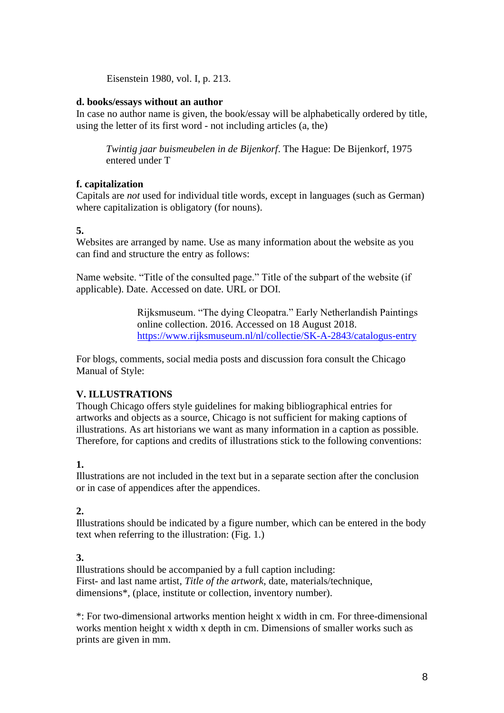Eisenstein 1980, vol. I, p. 213.

#### **d. books/essays without an author**

In case no author name is given, the book/essay will be alphabetically ordered by title, using the letter of its first word - not including articles (a, the)

*Twintig jaar buismeubelen in de Bijenkorf*. The Hague: De Bijenkorf, 1975 entered under T

## **f. capitalization**

Capitals are *not* used for individual title words, except in languages (such as German) where capitalization is obligatory (for nouns).

#### **5.**

Websites are arranged by name. Use as many information about the website as you can find and structure the entry as follows:

Name website. "Title of the consulted page." Title of the subpart of the website (if applicable). Date. Accessed on date. URL or DOI.

> Rijksmuseum. "The dying Cleopatra." Early Netherlandish Paintings online collection. 2016. Accessed on 18 August 2018. <https://www.rijksmuseum.nl/nl/collectie/SK-A-2843/catalogus-entry>

For blogs, comments, social media posts and discussion fora consult the Chicago Manual of Style:

## **V. ILLUSTRATIONS**

Though Chicago offers style guidelines for making bibliographical entries for artworks and objects as a source, Chicago is not sufficient for making captions of illustrations. As art historians we want as many information in a caption as possible. Therefore, for captions and credits of illustrations stick to the following conventions:

## **1.**

Illustrations are not included in the text but in a separate section after the conclusion or in case of appendices after the appendices.

## **2.**

Illustrations should be indicated by a figure number, which can be entered in the body text when referring to the illustration: (Fig. 1.)

## **3.**

Illustrations should be accompanied by a full caption including: First- and last name artist, *Title of the artwork*, date, materials/technique, dimensions\*, (place, institute or collection, inventory number).

\*: For two-dimensional artworks mention height x width in cm. For three-dimensional works mention height x width x depth in cm. Dimensions of smaller works such as prints are given in mm.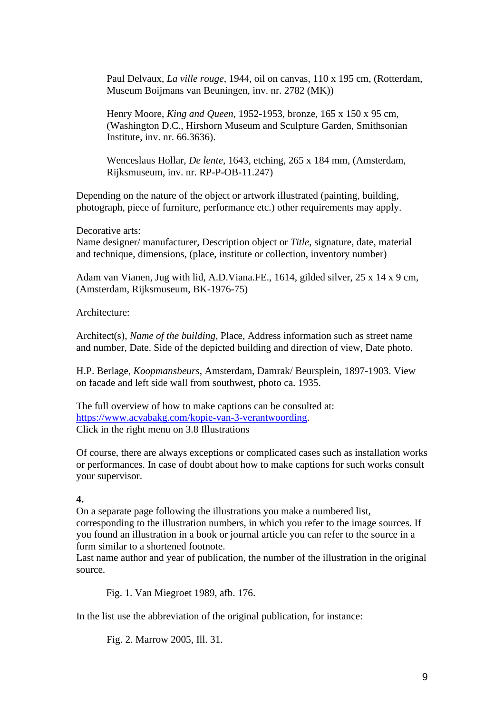Paul Delvaux, *La ville rouge*, 1944, oil on canvas, 110 x 195 cm, (Rotterdam, Museum Boijmans van Beuningen, inv. nr. 2782 (MK))

Henry Moore, *King and Queen*, 1952-1953, bronze, 165 x 150 x 95 cm, (Washington D.C., Hirshorn Museum and Sculpture Garden, Smithsonian Institute, inv. nr. 66.3636).

Wenceslaus Hollar, *De lente*, 1643, etching, 265 x 184 mm, (Amsterdam, Rijksmuseum, inv. nr. RP-P-OB-11.247)

Depending on the nature of the object or artwork illustrated (painting, building, photograph, piece of furniture, performance etc.) other requirements may apply.

Decorative arts:

Name designer/ manufacturer, Description object or *Title*, signature, date, material and technique, dimensions, (place, institute or collection, inventory number)

Adam van Vianen, Jug with lid, A.D.Viana.FE., 1614, gilded silver, 25 x 14 x 9 cm, (Amsterdam, Rijksmuseum, BK-1976-75)

Architecture:

Architect(s), *Name of the building*, Place, Address information such as street name and number, Date. Side of the depicted building and direction of view, Date photo.

H.P. Berlage, *Koopmansbeurs*, Amsterdam, Damrak/ Beursplein, 1897-1903. View on facade and left side wall from southwest, photo ca. 1935.

The full overview of how to make captions can be consulted at: [https://www.acvabakg.com/kopie-van-3-verantwoording.](https://www.acvabakg.com/kopie-van-3-verantwoording) Click in the right menu on 3.8 Illustrations

Of course, there are always exceptions or complicated cases such as installation works or performances. In case of doubt about how to make captions for such works consult your supervisor.

#### **4.**

On a separate page following the illustrations you make a numbered list, corresponding to the illustration numbers, in which you refer to the image sources. If you found an illustration in a book or journal article you can refer to the source in a form similar to a shortened footnote.

Last name author and year of publication, the number of the illustration in the original source.

Fig. 1. Van Miegroet 1989, afb. 176.

In the list use the abbreviation of the original publication, for instance:

Fig. 2. Marrow 2005, Ill. 31.